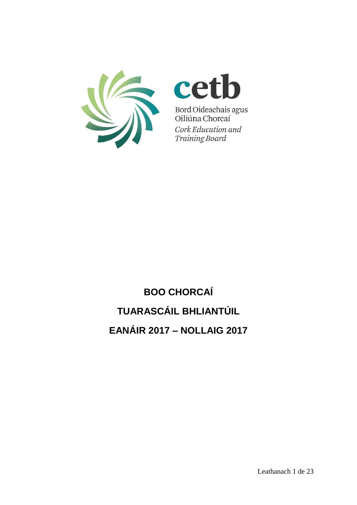



Bord Oideachais agus<br>Oiliúna Chorcaí Cork Education and **Training Board** 

# **BOO CHORCAÍ TUARASCÁIL BHLIANTÚIL EANÁIR 2017 – NOLLAIG 2017**

Leathanach 1 de 23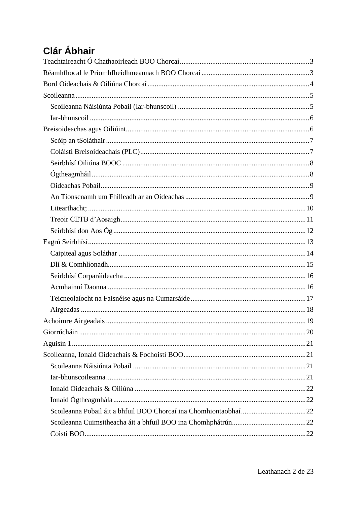# **Clár Ábhair**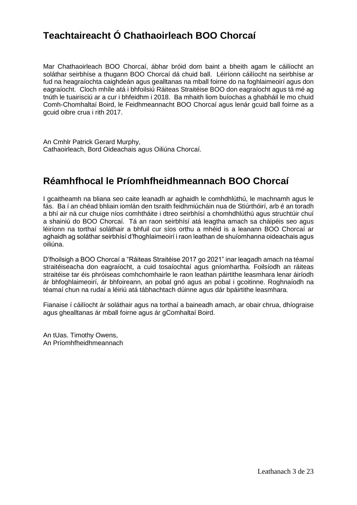# <span id="page-2-0"></span>**Teachtaireacht Ó Chathaoirleach BOO Chorcaí**

Mar Chathaoirleach BOO Chorcaí, ábhar bróid dom baint a bheith agam le cáilíocht an soláthar seirbhíse a thugann BOO Chorcaí dá chuid ball. Léiríonn cáilíocht na seirbhíse ar fud na heagraíochta caighdeán agus gealltanas na mball foirne do na foghlaimeoirí agus don eagraíocht. Cloch mhíle atá i bhfoilsiú Ráiteas Straitéise BOO don eagraíocht agus tá mé ag tnúth le tuairisciú ar a cur i bhfeidhm i 2018. Ba mhaith liom buíochas a ghabháil le mo chuid Comh-Chomhaltaí Boird, le Feidhmeannacht BOO Chorcaí agus lenár gcuid ball foirne as a gcuid oibre crua i rith 2017.

An Cmhlr Patrick Gerard Murphy, Cathaoirleach, Bord Oideachais agus Oiliúna Chorcaí.

# <span id="page-2-1"></span>**Réamhfhocal le Príomhfheidhmeannach BOO Chorcaí**

I gcaitheamh na bliana seo caite leanadh ar aghaidh le comhdhlúthú, le machnamh agus le fás. Ba í an chéad bhliain iomlán den tsraith feidhmiúcháin nua de Stiúrthóirí, arb é an toradh a bhí air ná cur chuige níos comhtháite i dtreo seirbhísí a chomhdhlúthú agus struchtúir chuí a shainiú do BOO Chorcaí. Tá an raon seirbhísí atá leagtha amach sa cháipéis seo agus léiríonn na torthaí soláthair a bhfuil cur síos orthu a mhéid is a leanann BOO Chorcaí ar aghaidh ag soláthar seirbhísí d'fhoghlaimeoirí i raon leathan de shuíomhanna oideachais agus oiliúna.

D'fhoilsigh a BOO Chorcaí a "Ráiteas Straitéise 2017 go 2021" inar leagadh amach na téamaí straitéiseacha don eagraíocht, a cuid tosaíochtaí agus gníomhartha. Foilsíodh an ráiteas straitéise tar éis phróiseas comhchomhairle le raon leathan páirtithe leasmhara lenar áiríodh ár bhfoghlaimeoirí, ár bhfoireann, an pobal gnó agus an pobal i gcoitinne. Roghnaíodh na téamaí chun na rudaí a léiriú atá tábhachtach dúinne agus dár bpáirtithe leasmhara.

Fianaise í cáilíocht ár soláthair agus na torthaí a baineadh amach, ar obair chrua, dhíograise agus ghealltanas ár mball foirne agus ár gComhaltaí Boird.

An tUas. Timothy Owens, An Príomhfheidhmeannach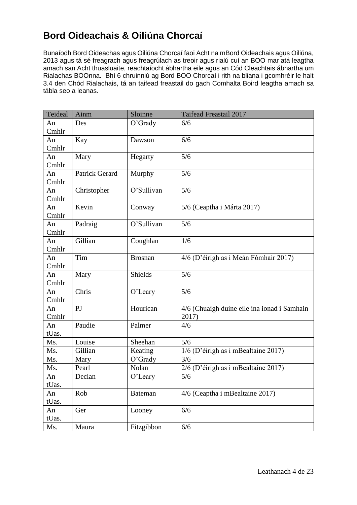# <span id="page-3-0"></span>**Bord Oideachais & Oiliúna Chorcaí**

Bunaíodh Bord Oideachas agus Oiliúna Chorcaí faoi Acht na mBord Oideachais agus Oiliúna, 2013 agus tá sé freagrach agus freagrúlach as treoir agus rialú cuí an BOO mar atá leagtha amach san Acht thuasluaite, reachtaíocht ábhartha eile agus an Cód Cleachtais ábhartha um Rialachas BOOnna. Bhí 6 chruinniú ag Bord BOO Chorcaí i rith na bliana i gcomhréir le halt 3.4 den Chód Rialachais, tá an taifead freastail do gach Comhalta Boird leagtha amach sa tábla seo a leanas.

| Teideal     | Ainm                  | Sloinne        | <b>Taifead Freastail 2017</b>                        |
|-------------|-----------------------|----------------|------------------------------------------------------|
| An<br>Cmhlr | Des                   | O'Grady        | 6/6                                                  |
| An<br>Cmhlr | Kay                   | Dawson         | 6/6                                                  |
| An<br>Cmhlr | Mary                  | Hegarty        | 5/6                                                  |
| An<br>Cmhlr | <b>Patrick Gerard</b> | Murphy         | 5/6                                                  |
| An<br>Cmhlr | Christopher           | O'Sullivan     | 5/6                                                  |
| An<br>Cmhlr | Kevin                 | Conway         | 5/6 (Ceaptha i Márta 2017)                           |
| An<br>Cmhlr | Padraig               | O'Sullivan     | 5/6                                                  |
| An<br>Cmhlr | Gillian               | Coughlan       | 1/6                                                  |
| An<br>Cmhlr | Tim                   | <b>Brosnan</b> | 4/6 (D'éirigh as i Meán Fómhair 2017)                |
| An<br>Cmhlr | Mary                  | <b>Shields</b> | 5/6                                                  |
| An<br>Cmhlr | Chris                 | O'Leary        | 5/6                                                  |
| An<br>Cmhlr | P <sub>J</sub>        | Hourican       | 4/6 (Chuaigh duine eile ina ionad i Samhain<br>2017) |
| An<br>tUas. | Paudie                | Palmer         | 4/6                                                  |
| Ms.         | Louise                | Sheehan        | 5/6                                                  |
| Ms.         | Gillian               | Keating        | 1/6 (D'éirigh as i mBealtaine 2017)                  |
| Ms.         | Mary                  | $O'$ Grady     | 3/6                                                  |
| Ms.         | Pearl                 | Nolan          | $2/6$ (D'éirigh as i mBealtaine 2017)                |
| An<br>tUas. | Declan                | O'Leary        | 5/6                                                  |
| An<br>tUas. | Rob                   | <b>Bateman</b> | 4/6 (Ceaptha i mBealtaine 2017)                      |
| An<br>tUas. | Ger                   | Looney         | 6/6                                                  |
| Ms.         | Maura                 | Fitzgibbon     | 6/6                                                  |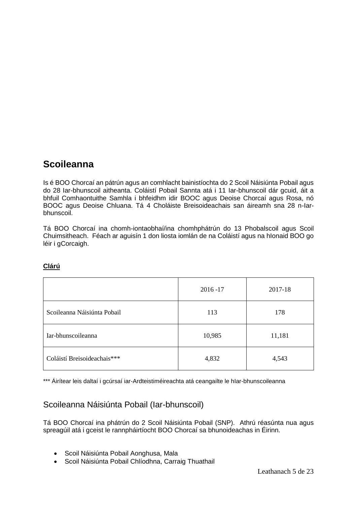# <span id="page-4-0"></span>**Scoileanna**

Is é BOO Chorcaí an pátrún agus an comhlacht bainistíochta do 2 Scoil Náisiúnta Pobail agus do 28 Iar-bhunscoil aitheanta. Coláistí Pobail Sannta atá i 11 Iar-bhunscoil dár gcuid, áit a bhfuil Comhaontuithe Samhla i bhfeidhm idir BOOC agus Deoise Chorcaí agus Rosa, nó BOOC agus Deoise Chluana. Tá 4 Choláiste Breisoideachais san áireamh sna 28 n-Iarbhunscoil.

Tá BOO Chorcaí ina chomh-iontaobhaí/ina chomhphátrún do 13 Phobalscoil agus Scoil Chuimsitheach. Féach ar aguisín 1 don liosta iomlán de na Coláistí agus na hIonaid BOO go léir i gCorcaigh.

|                             | $2016 - 17$ | 2017-18 |
|-----------------------------|-------------|---------|
| Scoileanna Náisiúnta Pobail | 113         | 178     |
| Iar-bhunscoileanna          | 10,985      | 11,181  |
| Coláistí Breisoideachais*** | 4,832       | 4,543   |

### **Clárú**

\*\*\* Áirítear leis daltaí i gcúrsaí iar-Ardteistiméireachta atá ceangailte le hIar-bhunscoileanna

### <span id="page-4-1"></span>Scoileanna Náisiúnta Pobail (Iar-bhunscoil)

Tá BOO Chorcaí ina phátrún do 2 Scoil Náisiúnta Pobail (SNP). Athrú réasúnta nua agus spreagúil atá i gceist le rannpháirtíocht BOO Chorcaí sa bhunoideachas in Éirinn.

- Scoil Náisiúnta Pobail Aonghusa, Mala
- Scoil Náisiúnta Pobail Chlíodhna, Carraig Thuathail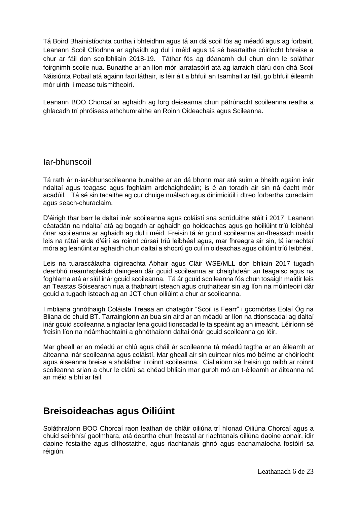Tá Boird Bhainistíochta curtha i bhfeidhm agus tá an dá scoil fós ag méadú agus ag forbairt. Leanann Scoil Clíodhna ar aghaidh ag dul i méid agus tá sé beartaithe cóiríocht bhreise a chur ar fáil don scoilbhliain 2018-19. Táthar fós ag déanamh dul chun cinn le soláthar foirgnimh scoile nua. Bunaithe ar an líon mór iarratasóirí atá ag iarraidh clárú don dhá Scoil Náisiúnta Pobail atá againn faoi láthair, is léir áit a bhfuil an tsamhail ar fáil, go bhfuil éileamh mór uirthi i measc tuismitheoirí.

Leanann BOO Chorcaí ar aghaidh ag lorg deiseanna chun pátrúnacht scoileanna reatha a ghlacadh trí phróiseas athchumraithe an Roinn Oideachais agus Scileanna.

#### <span id="page-5-0"></span>Iar-bhunscoil

Tá rath ár n-iar-bhunscoileanna bunaithe ar an dá bhonn mar atá suim a bheith againn inár ndaltaí agus teagasc agus foghlaim ardchaighdeáin; is é an toradh air sin ná éacht mór acadúil. Tá sé sin tacaithe ag cur chuige nuálach agus dinimiciúil i dtreo forbartha curaclaim agus seach-churaclaim.

D'éirigh thar barr le daltaí inár scoileanna agus coláistí sna scrúduithe stáit i 2017. Leanann céatadán na ndaltaí atá ag bogadh ar aghaidh go hoideachas agus go hoiliúint tríú leibhéal ónar scoileanna ar aghaidh ag dul i méid. Freisin tá ár gcuid scoileanna an-fheasach maidir leis na rátaí arda d'éirí as roinnt cúrsaí tríú leibhéal agus, mar fhreagra air sin, tá iarrachtaí móra ag leanúint ar aghaidh chun daltaí a shocrú go cuí in oideachas agus oiliúint tríú leibhéal.

Leis na tuarascálacha cigireachta Ábhair agus Cláir WSE/MLL don bhliain 2017 tugadh dearbhú neamhspleách daingean dár gcuid scoileanna ar chaighdeán an teagaisc agus na foghlama atá ar siúl inár gcuid scoileanna. Tá ár gcuid scoileanna fós chun tosaigh maidir leis an Teastas Sóisearach nua a thabhairt isteach agus cruthaítear sin ag líon na múinteoirí dár gcuid a tugadh isteach ag an JCT chun oiliúint a chur ar scoileanna.

I mbliana ghnóthaigh Coláiste Treasa an chatagóir "Scoil is Fearr" i gcomórtas Eolaí Óg na Bliana de chuid BT. Tarraingíonn an bua sin aird ar an méadú ar líon na dtionscadal ag daltaí inár gcuid scoileanna a nglactar lena gcuid tionscadal le taispeáint ag an imeacht. Léiríonn sé freisin líon na ndámhachtainí a ghnóthaíonn daltaí ónár gcuid scoileanna go léir.

Mar gheall ar an méadú ar chlú agus cháil ár scoileanna tá méadú tagtha ar an éileamh ar áiteanna inár scoileanna agus coláistí. Mar gheall air sin cuirtear níos mó béime ar chóiríocht agus áiseanna breise a sholáthar i roinnt scoileanna. Ciallaíonn sé freisin go raibh ar roinnt scoileanna srian a chur le clárú sa chéad bhliain mar gurbh mó an t-éileamh ar áiteanna ná an méid a bhí ar fáil.

# <span id="page-5-1"></span>**Breisoideachas agus Oiliúint**

Soláthraíonn BOO Chorcaí raon leathan de chláir oiliúna trí hIonad Oiliúna Chorcaí agus a chuid seirbhísí gaolmhara, atá deartha chun freastal ar riachtanais oiliúna daoine aonair, idir daoine fostaithe agus dífhostaithe, agus riachtanais ghnó agus eacnamaíocha fostóirí sa réigiún.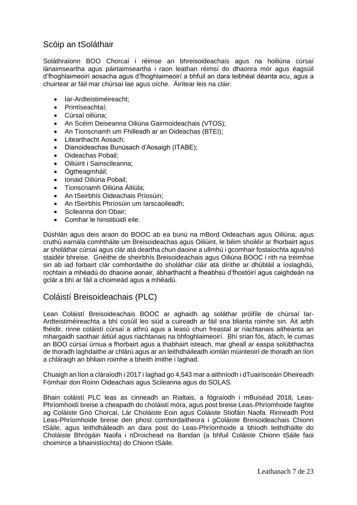### <span id="page-6-0"></span>Scóip an tSoláthair

Soláthraíonn BOO Chorcaí i réimse an bhreisoideachais agus na hoiliúna cúrsaí lánaimseartha agus páirtaimseartha i raon leathan réimsí do dhaonra mór agus éagsúil d'fhoghlaimeoirí aosacha agus d'fhoghlaimeoirí a bhfuil an dara leibhéal déanta acu, agus a chuirtear ar fáil mar chúrsaí lae agus oíche. Áirítear leis na cláir:

- Iar-Ardteistiméireacht;
- Printíseachtaí;
- Cúrsaí oiliúna;
- An Scéim Deiseanna Oiliúna Gairmoideachais (VTOS);
- An Tionscnamh um Fhilleadh ar an Oideachas (BTEI);
- Litearthacht Aosach;
- Dianoideachas Bunúsach d'Aosaigh (ITABE);
- Oideachas Pobail;
- Oiliúint i Sainscileanna;
- Ógtheagmháil;
- Ionaid Oiliúna Pobail;
- Tionscnamh Oiliúna Áitiúla;
- An tSeirbhís Oideachais Príosúin;
- An tSeirbhís Phríosúin um Iarscaoileadh;
- Scileanna don Obair:
- Comhar le hinstitiúidí eile.

Dúshlán agus deis araon do BOOC ab ea bunú na mBord Oideachais agus Oiliúna, agus cruthú earnála comhtháite um Breisoideachas agus Oiliúint, le béim shoiléir ar fhorbairt agus ar sholáthar cúrsaí agus clár atá deartha chun daoine a ullmhú i gcomhair fostaíochta agus/nó staidéir bhreise. Gnéithe de sheirbhís Breisoideachais agus Oiliúna BOOC i rith na tréimhse sin ab iad forbairt clár comhordaithe do sholáthar cláir atá dírithe ar dhúbláil a íoslaghdú, rochtain a mhéadú do dhaoine aonair, ábharthacht a fheabhsú d'fhostóirí agus caighdeán na gclár a bhí ar fáil a choimeád agus a mhéadú.

### <span id="page-6-1"></span>Coláistí Breisoideachais (PLC)

Lean Coláistí Breisoideachais BOOC ar aghaidh ag soláthar próifíle de chúrsaí Iar-Ardteistiméireachta a bhí cosúil leo siúd a cuireadh ar fáil sna blianta roimhe sin. Áit arbh fhéidir, rinne coláistí cúrsaí a athrú agus a leasú chun freastal ar riachtanais aitheanta an mhargaidh saothair áitiúil agus riachtanais na bhfoghlaimeoirí. Bhí srian fós, áfach, le cumas an BOO cúrsaí úrnua a fhorbairt agus a thabhairt isteach, mar gheall ar easpa solúbthachta de thoradh laghdaithe ar chlárú agus ar an leithdháileadh iomlán múinteoirí de thoradh an líon a chláraigh an bhliain roimhe a bheith imithe i laghad.

Chuaigh an líon a cláraíodh i 2017 i laghad go 4,543 mar a aithníodh i dTuairisceáin Dheireadh Fómhair don Roinn Oideachais agus Scileanna agus do SOLAS.

Bhain coláistí PLC leas as cinneadh an Rialtais, a fógraíodh i mBuiséad 2018, Leas-Phríomhoidí breise a cheapadh do choláistí móra, agus post breise Leas-Phríomhoide faighte ag Coláiste Gnó Chorcaí, Lár Choláiste Eoin agus Coláiste Stiofáin Naofa. Rinneadh Post Leas-Phríomhoide breise den phost comhordaitheora i gColáiste Breisoideachais Chionn tSáile, agus leithdháileadh an dara post do Leas-Phríomhoide a bhíodh leithdháilte do Choláiste Bhrógáin Naofa i nDroichead na Bandan (a bhfuil Coláiste Chionn tSáile faoi choimirce a bhainistíochta) do Chionn tSáile.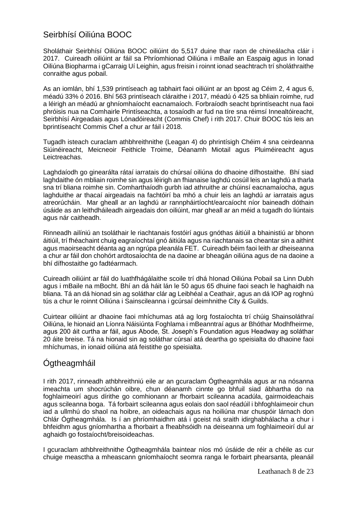### <span id="page-7-0"></span>Seirbhísí Oiliúna BOOC

Sholáthair Seirbhísí Oiliúna BOOC oiliúint do 5,517 duine thar raon de chineálacha cláir i 2017. Cuireadh oiliúint ar fáil sa Phríomhionad Oiliúna i mBaile an Easpaig agus in Ionad Oiliúna Biopharma i gCarraig Uí Leighin, agus freisin i roinnt ionad seachtrach trí sholáthraithe conraithe agus pobail.

As an iomlán, bhí 1,539 printíseach ag tabhairt faoi oiliúint ar an bpost ag Céim 2, 4 agus 6, méadú 33% ó 2016. Bhí 563 printíseach cláraithe i 2017, méadú ó 425 sa bhliain roimhe, rud a léirigh an méadú ar ghníomhaíocht eacnamaíoch. Forbraíodh seacht bprintíseacht nua faoi phróisis nua na Comhairle Printíseachta, a tosaíodh ar fud na tíre sna réimsí Innealtóireacht, Seirbhísí Airgeadais agus Lónadóireacht (Commis Chef) i rith 2017. Chuir BOOC tús leis an bprintíseacht Commis Chef a chur ar fáil i 2018.

Tugadh isteach curaclam athbhreithnithe (Leagan 4) do phrintísigh Chéim 4 sna ceirdeanna Siúinéireacht, Meicneoir Feithicle Troime, Déanamh Miotail agus Pluiméireacht agus Leictreachas.

Laghdaíodh go ginearálta rátaí iarratais do chúrsaí oiliúna do dhaoine dífhostaithe. Bhí siad laghdaithe ón mbliain roimhe sin agus léirigh an fhianaise laghdú cosúil leis an laghdú a tharla sna trí bliana roimhe sin. Comharthaíodh gurbh iad athruithe ar chúinsí eacnamaíocha, agus laghduithe ar thacaí airgeadais na fachtóirí ba mhó a chuir leis an laghdú ar iarratais agus atreorúcháin. Mar gheall ar an laghdú ar rannpháirtíocht/earcaíocht níor baineadh dóthain úsáide as an leithdháileadh airgeadais don oiliúint, mar gheall ar an méid a tugadh do liúntais agus nár caitheadh.

Rinneadh ailíniú an tsoláthair le riachtanais fostóirí agus gnóthas áitiúil a bhainistiú ar bhonn áitiúil, trí fhéachaint chuig eagraíochtaí gnó áitiúla agus na riachtanais sa cheantar sin a aithint agus maoirseacht déanta ag an ngrúpa pleanála FET. Cuireadh béim faoi leith ar dheiseanna a chur ar fáil don chohórt ardtosaíochta de na daoine ar bheagán oiliúna agus de na daoine a bhí dífhostaithe go fadtéarmach.

Cuireadh oiliúint ar fáil do luathfhágálaithe scoile trí dhá hIonad Oiliúna Pobail sa Linn Dubh agus i mBaile na mBocht. Bhí an dá háit lán le 50 agus 65 dhuine faoi seach le haghaidh na bliana. Tá an dá hionad sin ag soláthar clár ag Leibhéal a Ceathair, agus an dá IOP ag roghnú tús a chur le roinnt Oiliúna i Sainscileanna i gcúrsaí deimhnithe City & Guilds.

Cuirtear oiliúint ar dhaoine faoi mhíchumas atá ag lorg fostaíochta trí chúig Shainsoláthraí Oiliúna, le hionaid an Líonra Náisiúnta Foghlama i mBeanntraí agus ar Bhóthar Modhfheirme, agus 200 áit curtha ar fáil, agus Abode, St. Joseph's Foundation agus Headway ag soláthar 20 áite breise. Tá na hionaid sin ag soláthar cúrsaí atá deartha go speisialta do dhaoine faoi mhíchumas, in ionaid oiliúna atá feistithe go speisialta.

### <span id="page-7-1"></span>**Ogtheagmháil**

I rith 2017, rinneadh athbhreithniú eile ar an gcuraclam Ógtheagmhála agus ar na nósanna imeachta um shocrúchán oibre, chun déanamh cinnte go bhfuil siad ábhartha do na foghlaimeoirí agus dírithe go comhionann ar fhorbairt scileanna acadúla, gairmoideachais agus scileanna boga. Tá forbairt scileanna agus eolais don saol réadúil i bhfoghlaimeoir chun iad a ullmhú do shaol na hoibre, an oideachais agus na hoiliúna mar chuspóir lárnach don Chlár Ógtheagmhála. Is í an phríomhaidhm atá i gceist ná sraith idirghabhálacha a chur i bhfeidhm agus gníomhartha a fhorbairt a fheabhsóidh na deiseanna um foghlaimeoirí dul ar aghaidh go fostaíocht/breisoideachas.

I gcuraclam athbhreithnithe Ógtheagmhála baintear níos mó úsáide de réir a chéile as cur chuige measctha a mheascann gníomhaíocht seomra ranga le forbairt phearsanta, pleanáil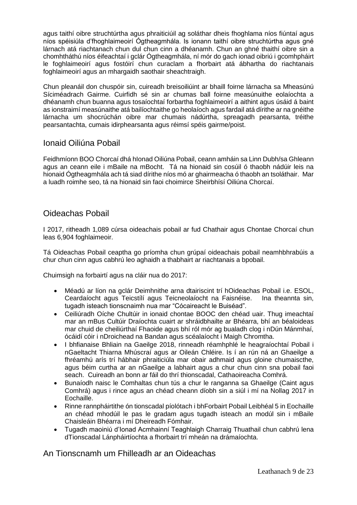agus taithí oibre struchtúrtha agus phraiticiúil ag soláthar dheis fhoghlama níos fiúntaí agus níos spéisiúla d'fhoghlaimeoirí Ógtheagmhála. Is ionann taithí oibre struchtúrtha agus gné lárnach atá riachtanach chun dul chun cinn a dhéanamh. Chun an ghné thaithí oibre sin a chomhtháthú níos éifeachtaí i gclár Ógtheagmhála, ní mór do gach ionad oibriú i gcomhpháirt le foghlaimeoirí agus fostóirí chun curaclam a fhorbairt atá ábhartha do riachtanais foghlaimeoirí agus an mhargaidh saothair sheachtraigh.

Chun pleanáil don chuspóir sin, cuireadh breisoiliúint ar bhaill foirne lárnacha sa Mheasúnú Síciméadrach Gairme. Cuirfidh sé sin ar chumas ball foirne measúnuithe eolaíochta a dhéanamh chun buanna agus tosaíochtaí forbartha foghlaimeoirí a aithint agus úsáid á baint as ionstraimí measúnaithe atá bailíochtaithe go heolaíoch agus fardail atá dírithe ar na gnéithe lárnacha um shocrúchán oibre mar chumais nádúrtha, spreagadh pearsanta, tréithe pearsantachta, cumais idirphearsanta agus réimsí spéis gairme/poist.

### Ionaid Oiliúna Pobail

Feidhmíonn BOO Chorcaí dhá hIonad Oiliúna Pobail, ceann amháin sa Linn Dubh/sa Ghleann agus an ceann eile i mBaile na mBocht. Tá na hionaid sin cosúil ó thaobh nádúir leis na hionaid Ógtheagmhála ach tá siad dírithe níos mó ar ghairmeacha ó thaobh an tsoláthair. Mar a luadh roimhe seo, tá na hionaid sin faoi choimirce Sheirbhísí Oiliúna Chorcaí.

### <span id="page-8-0"></span>Oideachas Pobail

I 2017, ritheadh 1,089 cúrsa oideachais pobail ar fud Chathair agus Chontae Chorcaí chun leas 6,904 foghlaimeoir.

Tá Oideachas Pobail ceaptha go príomha chun grúpaí oideachais pobail neamhbhrabúis a chur chun cinn agus cabhrú leo aghaidh a thabhairt ar riachtanais a bpobail.

Chuimsigh na forbairtí agus na cláir nua do 2017:

- Méadú ar líon na gclár Deimhnithe arna dtairiscint trí hOideachas Pobail i.e. ESOL, Ceardaíocht agus Teicstílí agus Teicneolaíocht na Faisnéise. Ina theannta sin, tugadh isteach tionscnaimh nua mar "Cócaireacht le Buiséad".
- Ceiliúradh Oíche Chultúir in ionaid chontae BOOC den chéad uair. Thug imeachtaí mar an mBus Cultúir Draíochta cuairt ar shráidbhailte ar Bhéarra, bhí an béaloideas mar chuid de cheiliúrthaí Fhaoide agus bhí ról mór ag bualadh clog i nDún Mánmhaí, ócáidí cóir i nDroichead na Bandan agus scéalaíocht i Maigh Chromtha.
- I bhfianaise Bhliain na Gaeilge 2018, rinneadh réamhphlé le heagraíochtaí Pobail i nGaeltacht Thiarna Mhúscraí agus ar Oileán Chléire. Is í an rún ná an Ghaeilge a fhréamhú arís trí hábhair phraiticiúla mar obair adhmaid agus gloine chumaiscthe, agus béim curtha ar an nGaeilge a labhairt agus a chur chun cinn sna pobail faoi seach. Cuireadh an bonn ar fáil do thrí thionscadal, Cathaoireacha Comhrá.
- Bunaíodh naisc le Comhaltas chun tús a chur le ranganna sa Ghaeilge (Caint agus Comhrá) agus i rince agus an chéad cheann díobh sin a siúl i mí na Nollag 2017 in Eochaille.
- Rinne rannpháirtithe ón tionscadal píolótach i bhForbairt Pobail Leibhéal 5 in Eochaille an chéad mhodúil le pas le gradam agus tugadh isteach an modúl sin i mBaile Chaisleáin Bhéarra i mí Dheireadh Fómhair.
- Tugadh maoiniú d'Ionad Acmhainní Teaghlaigh Charraig Thuathail chun cabhrú lena dTionscadal Lánpháirtíochta a fhorbairt trí mheán na drámaíochta.

<span id="page-8-1"></span>An Tionscnamh um Fhilleadh ar an Oideachas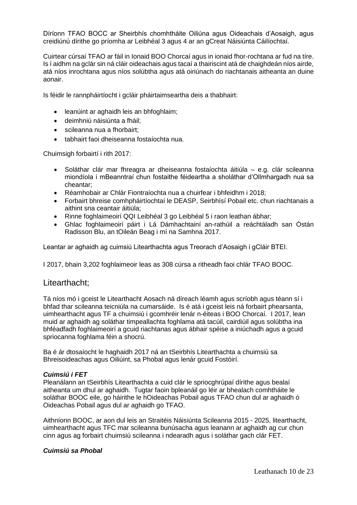Díríonn TFAO BOCC ar Sheirbhís chomhtháite Oiliúna agus Oideachais d'Aosaigh, agus creidiúnú dírithe go príomha ar Leibhéal 3 agus 4 ar an gCreat Náisiúnta Cáilíochtaí.

Cuirtear cúrsaí TFAO ar fáil in Ionaid BOO Chorcaí agus in ionaid fhor-rochtana ar fud na tíre. Is í aidhm na gclár sin ná cláir oideachais agus tacaí a thairiscint atá de chaighdeán níos airde, atá níos inrochtana agus níos solúbtha agus atá oiriúnach do riachtanais aitheanta an duine aonair.

Is féidir le rannpháirtíocht i gcláir pháirtaimseartha deis a thabhairt:

- leanúint ar aghaidh leis an bhfoghlaim;
- deimhniú náisiúnta a fháil;
- scileanna nua a fhorbairt:
- tabhairt faoi dheiseanna fostaíochta nua.

Chuimsigh forbairtí i rith 2017:

- Soláthar clár mar fhreagra ar dheiseanna fostaíochta áitiúla e.g. clár scileanna miondíola i mBeanntraí chun fostaithe féideartha a sholáthar d'Ollmhargadh nua sa cheantar;
- Réamhobair ar Chlár Fiontraíochta nua a chuirfear i bhfeidhm i 2018;
- Forbairt bhreise comhpháirtíochtaí le DEASP, Seirbhísí Pobail etc. chun riachtanais a aithint sna ceantair áitiúla;
- Rinne foghlaimeoirí QQI Leibhéal 3 go Leibhéal 5 i raon leathan ábhar;
- Ghlac foghlaimeoirí páirt i Lá Dámhachtainí an-rathúil a reáchtáladh san Óstán Radisson Blu, an tOileán Beag i mí na Samhna 2017.

Leantar ar aghaidh ag cuimsiú Litearthachta agus Treorach d'Aosaigh i gCláir BTEI.

I 2017, bhain 3,202 foghlaimeoir leas as 308 cúrsa a ritheadh faoi chlár TFAO BOOC.

#### <span id="page-9-0"></span>Litearthacht;

Tá níos mó i gceist le Litearthacht Aosach ná díreach léamh agus scríobh agus téann sí i bhfad thar scileanna teicniúla na cumarsáide. Is é atá i gceist leis ná forbairt phearsanta, uimhearthacht agus TF a chuimsiú i gcomhréir lenár n-éiteas i BOO Chorcaí. I 2017, lean muid ar aghaidh ag soláthar timpeallachta foghlama atá tacúil, cairdiúil agus solúbtha ina bhféadfadh foghlaimeoirí a gcuid riachtanas agus ábhair spéise a iniúchadh agus a gcuid spriocanna foghlama féin a shocrú.

Ba é ár dtosaíocht le haghaidh 2017 ná an tSeirbhís Litearthachta a chuimsiú sa Bhreisoideachas agus Oiliúint, sa Phobal agus lenár gcuid Fostóirí.

#### *Cuimsiú i FET*

Pleanálann an tSeirbhís Litearthachta a cuid clár le spriocghrúpaí dírithe agus bealaí aitheanta um dhul ar aghaidh. Tugtar faoin bpleanáil go léir ar bhealach comhtháite le soláthar BOOC eile, go háirithe le hOideachas Pobail agus TFAO chun dul ar aghaidh ó Oideachas Pobail agus dul ar aghaidh go TFAO.

Aithníonn BOOC, ar aon dul leis an Straitéis Náisiúnta Scileanna 2015 - 2025, litearthacht, uimhearthacht agus TFC mar scileanna bunúsacha agus leanann ar aghaidh ag cur chun cinn agus ag forbairt chuimsiú scileanna i ndearadh agus i soláthar gach clár FET.

#### *Cuimsiú sa Phobal*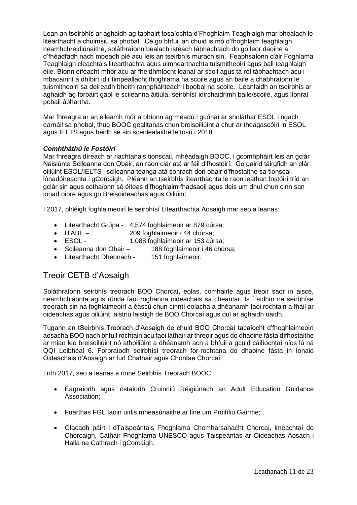Lean an tseirbhís ar aghaidh ag tabhairt tosaíochta d'Fhoghlaim Teaghlaigh mar bhealach le litearthacht a chuimsiú sa phobal. Cé go bhfuil an chuid is mó d'fhoghlaim teaghlaigh neamhchreidiúnaithe, soláthraíonn bealach isteach tábhachtach do go leor daoine a d'fhéadfadh nach mbeadh plé acu leis an tseirbhís murach sin. Feabhsaíonn cláir Foghlama Teaghlaigh cleachtais litearthachta agus uimhearthachta tuismitheoirí agus ball teaghlaigh eile. Bíonn éifeacht mhór acu ar fheidhmíocht leanaí ar scoil agus tá ról tábhachtach acu i mbacainní a dhíbirt idir timpeallacht fhoghlama na scoile agus an baile a chabhraíonn le tuismitheoirí sa deireadh bheith rannpháirteach i bpobal na scoile. Leanfaidh an tseirbhís ar aghaidh ag forbairt gaol le scileanna áitiúla, seirbhísí idirchaidrimh baile/scoile, agus líonraí pobail ábhartha.

Mar fhreagra ar an éileamh mór a bhíonn ag méadú i gcónaí ar sholáthar ESOL i ngach earnáil sa phobal, thug BOOC gealltanas chun breisoiliúint a chur ar theagascóirí in ESOL agus IELTS agus beidh sé sin sceidealaithe le tosú i 2018.

#### *Comhtháthú le Fostóirí*

Mar fhreagra díreach ar riachtanais tionscail, mhéadaigh BOOC, i gcomhpháirt leis an gclár Náisiúnta Scileanna don Obair, an raon clár atá ar fáil d'fhostóirí. Go gairid táirgfidh an clár oiliúint ESOL/IELTS i scileanna teanga atá sonrach don obair d'fhostaithe sa tionscal lónadóireachta i gCorcaigh. Pléann an tseirbhís litearthachta le raon leathan fostóirí tríd an gclár sin agus cothaíonn sé éiteas d'fhoghlaim fhadsaoil agus deis um dhul chun cinn san ionad oibre agus go Breisoideachas agus Oiliúint.

I 2017, phléigh foghlaimeoirí le seirbhísí Litearthachta Aosaigh mar seo a leanas:

- Litearthacht Grúpa 4,574 foghlaimeoir ar 879 cúrsa;
- ITABE 209 foghlaimeoir i 44 chúrsa;
- ESOL 1,088 foghlaimeoir ar 153 cúrsa;
- Scileanna don Obair 188 foghlaimeoir i 46 chúrsa;
- Litearthacht Dheonach 151 foghlaimeoir.

### <span id="page-10-0"></span>Treoir CETB d'Aosaigh

Soláthraíonn seirbhís treorach BOO Chorcaí, eolas, comhairle agus treoir saor in aisce, neamhchlaonta agus rúnda faoi roghanna oideachais sa cheantar. Is í aidhm na seirbhíse treorach sin ná foghlaimeoirí a éascú chun cinntí eolacha a dhéanamh faoi rochtain a fháil ar oideachas agus oiliúint, aistriú laistigh de BOO Chorcaí agus dul ar aghaidh uaidh.

Tugann an tSeirbhís Treorach d'Aosaigh de chuid BOO Chorcaí tacaíocht d'fhoghlaimeoirí aosacha BOO nach bhfuil rochtain acu faoi láthair ar threoir agus do dhaoine fásta dífhostaithe ar mian leo breisoiliúint nó athoiliúint a dhéanamh ach a bhfuil a gcuid cáilíochtaí níos lú ná QQI Leibhéal 6. Forbraíodh seirbhísí treorach for-rochtana do dhaoine fásta in Ionaid Oideachais d'Aosaigh ar fud Chathair agus Chontae Chorcaí.

I rith 2017, seo a leanas a rinne Seirbhís Treorach BOOC:

- Eagraíodh agus óstaíodh Cruinniú Réigiúnach an Adult Education Guidance Association;
- Fuarthas FGL faoin uirlis mheasúnaithe ar líne um Próifíliú Gairme;
- Glacadh páirt i dTaispeántais Fhoghlama Chomharsanacht Chorcaí, imeachtaí do Chorcaigh, Cathair Fhoghlama UNESCO agus Taispeántas ar Oideachas Aosach i Halla na Cathrach i gCorcaigh.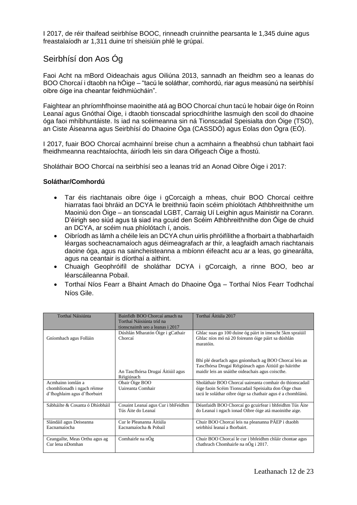I 2017, de réir thaifead seirbhíse BOOC, rinneadh cruinnithe pearsanta le 1,345 duine agus freastalaíodh ar 1,311 duine trí sheisiúin phlé le grúpaí.

### <span id="page-11-0"></span>Seirbhísí don Aos Óg

Faoi Acht na mBord Oideachais agus Oiliúna 2013, sannadh an fheidhm seo a leanas do BOO Chorcaí i dtaobh na hÓige – "tacú le soláthar, comhordú, riar agus measúnú na seirbhísí oibre óige ina cheantar feidhmiúcháin".

Faightear an phríomhfhoinse maoinithe atá ag BOO Chorcaí chun tacú le hobair óige ón Roinn Leanaí agus Gnóthaí Óige, i dtaobh tionscadal spriocdhírithe lasmuigh den scoil do dhaoine óga faoi mhíbhuntáiste. Is iad na scéimeanna sin ná Tionscadail Speisialta don Óige (TSO), an Ciste Áiseanna agus Seirbhísí do Dhaoine Óga (CASSDÓ) agus Eolas don Ógra (EÓ).

I 2017, fuair BOO Chorcaí acmhainní breise chun a acmhainn a fheabhsú chun tabhairt faoi fheidhmeanna reachtaíochta, áiríodh leis sin dara Oifigeach Óige a fhostú.

Sholáthair BOO Chorcaí na seirbhísí seo a leanas tríd an Aonad Oibre Óige i 2017:

#### **Soláthar/Comhordú**

- Tar éis riachtanais oibre óige i gCorcaigh a mheas, chuir BOO Chorcaí ceithre hiarratas faoi bhráid an DCYA le breithniú faoin scéim phíolótach Athbhreithnithe um Maoiniú don Óige – an tionscadal LGBT, Carraig Uí Leighin agus Mainistir na Corann. D'éirigh seo siúd agus tá siad ina gcuid den Scéim Athbhreithnithe don Óige de chuid an DCYA, ar scéim nua phíolótach í, anois.
- Oibríodh as lámh a chéile leis an DCYA chun uirlis phróifílithe a fhorbairt a thabharfaidh léargas socheacnamaíoch agus déimeagrafach ar thír, a leagfaidh amach riachtanais daoine óga, agus na saincheisteanna a mbíonn éifeacht acu ar a leas, go ginearálta, agus na ceantair is díorthaí a aithint.
- Chuaigh Geophróifíl de sholáthar DCYA i gCorcaigh, a rinne BOO, beo ar léarscáileanna Pobail.
- Torthaí Níos Fearr a Bhaint Amach do Dhaoine Óga Torthaí Níos Fearr Todhchaí Níos Gile.

| Torthaí Náisiúnta                                  | Bainfidh BOO Chorcaí amach na                            | Torthaí Áitiúla 2017                                                                                                                                                |
|----------------------------------------------------|----------------------------------------------------------|---------------------------------------------------------------------------------------------------------------------------------------------------------------------|
|                                                    | Torthaí Náisiúnta tríd na                                |                                                                                                                                                                     |
|                                                    | tionscnaimh seo a leanas i 2017                          |                                                                                                                                                                     |
|                                                    | Dúshlán Mharatón Óige i gCathair                         | Ghlac suas go 100 duine óg páirt in imeacht 5km spraíúil                                                                                                            |
| Gníomhach agus Folláin                             | Chorcaí                                                  | Ghlac níos mó ná 20 foireann óige páirt sa dúshlán<br>maratóin.                                                                                                     |
|                                                    | An Tascfhórsa Drugaí Áitiúil agus<br>Réigiúnach          | Bhí plé dearfach agus gníomhach ag BOO Chorcaí leis an<br>Tascfhórsa Drugaí Réigiúnach agus Áitiúil go háirithe<br>maidir leis an snáithe oideachais agus coiscthe. |
| Acmhainn iomlán a                                  | Obair Óige BOO                                           | Sholáthair BOO Chorcaí uaireanta comhair do thionscadail                                                                                                            |
| chomhlíonadh i ngach réimse                        | Uaireanta Comhair                                        | óige faoin Scéim Tionscadail Speisialta don Óige chun                                                                                                               |
| d'fhoghlaim agus d'fhorbairt                       |                                                          | tacú le soláthar oibre óige sa chathair agus é a chomhlánú.                                                                                                         |
| Sábháilte & Cosanta ó Dhíobháil                    | Cosaint Leanaí agus Cur i bhFeidhm<br>Tús Áite do Leanaí | Déanfaidh BOO Chorcaí go gcuirfear i bhfeidhm Tús Áite<br>do Leanaí i ngach ionad Oibre óige atá maoinithe aige.                                                    |
| Slándáil agus Deiseanna                            | Cur le Pleananna Áitiúla                                 | Chuir BOO Chorcaí leis na pleananna PÁEP i dtaobh                                                                                                                   |
| Eacnamaíocha                                       | Eacnamaíocha & Pobail                                    | seirbhísí leanaí a fhorbairt.                                                                                                                                       |
| Ceangailte, Meas Orthu agus ag<br>Cur lena nDomhan | Comhairle na nÓg                                         | Chuir BOO Chorcaí le cur i bhfeidhm chláir chontae agus<br>chathrach Chomhairle na nÓg i 2017.                                                                      |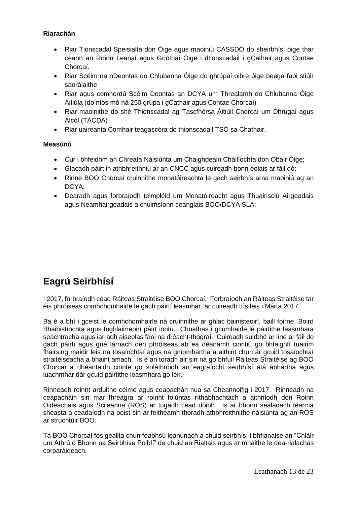#### **Riarachán**

- Riar Tionscadal Speisialta don Óige agus maoiniú CASSDÓ do sheirbhísí óige thar ceann an Roinn Leanaí agus Gnóthaí Óige i dtionscadail i gCathair agus Contae Chorcaí.
- Riar Scéim na nDeontas do Chlubanna Óige do ghrúpaí oibre óige beaga faoi stiúir saorálaithe
- Riar agus comhordú Scéim Deontas an DCYA um Threalamh do Chlubanna Óige Áitiúla (do níos mó ná 250 grúpa i gCathair agus Contae Chorcaí)
- Riar maoinithe do shé Thionscadal ag Tascfhórsa Áitiúil Chorcaí um Dhrugaí agus Alcól (TÁCDA)
- Riar uaireanta Comhair teagascóra do thionscadail TSÓ sa Chathair.

#### **Measúnú**

- Cur i bhfeidhm an Chreata Náisiúnta um Chaighdeáin Cháilíochta don Obair Óige;
- Glacadh páirt in athbhreithniú ar an CNCC agus cuireadh bonn eolais ar fáil dó;
- Rinne BOO Chorcaí cruinnithe monatóireachta le gach seirbhís arna maoiniú ag an DCYA;
- Dearadh agus forbraíodh teimpléid um Monatóireacht agus Thuairisciú Airgeadais agus Neamhairgeadais a chuimsíonn ceanglais BOO/DCYA SLA;

# <span id="page-12-0"></span>**Eagrú Seirbhísí**

I 2017, forbraíodh céad Ráiteas Straitéise BOO Chorcaí. Forbraíodh an Ráiteas Straitéise tar éis phróiseas comhchomhairle le gach páirtí leasmhar, ar cuireadh tús leis i Márta 2017.

Ba é a bhí i gceist le comhchomhairle ná cruinnithe ar ghlac bainisteoirí, baill foirne, Boird Bhainistíochta agus foghlaimeoirí páirt iontu. Chuathas i gcomhairle le páirtithe leasmhara seachtracha agus iarradh aiseolas faoi na dréacht-thograí. Cuireadh suirbhé ar líne ar fáil do gach páirtí agus gné lárnach den phróiseas ab ea déanamh cinntiú go bhfaighfí tuairim fhairsing maidir leis na tosaíochtaí agus na gníomhartha a aithint chun ár gcuid tosaíochtaí straitéiseacha a bhaint amach. Is é an toradh air sin ná go bhfuil Ráiteas Straitéise ag BOO Chorcaí a dhéanfaidh cinnte go soláthróidh an eagraíocht seirbhísí atá ábhartha agus luachmhar dár gcuid páirtithe leasmhara go léir.

Rinneadh roinnt arduithe céime agus ceapachán nua sa Cheannoifig i 2017. Rinneadh na ceapacháin sin mar fhreagra ar roinnt folúntas ríthábhachtach a aithníodh don Roinn Oideachais agus Scileanna (ROS) ar tugadh cead dóibh. Is ar bhonn sealadach téarma sheasta a ceadaíodh na poist sin ar feitheamh thoradh athbhreithnithe náisiúnta ag an ROS ar struchtúir BOO.

Tá BOO Chorcaí fós geallta chun feabhsú leanúnach a chuid seirbhísí i bhfianaise an "Chláir um Athrú ó Bhonn na Seirbhíse Poiblí" de chuid an Rialtais agus ar mhaithe le dea-rialachas corparáideach.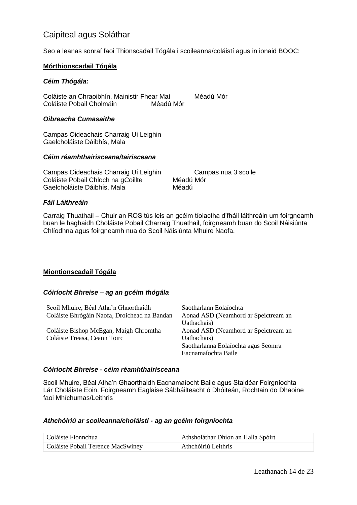### <span id="page-13-0"></span>Caipiteal agus Soláthar

Seo a leanas sonraí faoi Thionscadail Tógála i scoileanna/coláistí agus in ionaid BOOC:

#### **Mórthionscadail Tógála**

#### *Céim Thógála:*

Coláiste an Chraoibhín, Mainistir Fhear Maí Méadú Mór Coláiste Pobail Cholmáin Méadú Mór

#### *Oibreacha Cumasaithe*

Campas Oideachais Charraig Uí Leighin Gaelcholáiste Dáibhís, Mala

#### *Céim réamhthairisceana/tairisceana*

Campas Oideachais Charraig Uí Leighin Campas nua 3 scoile Coláiste Pobail Chloch na gCoillte Méadú Mór Gaelcholáiste Dáibhís, Mala **Méadú** 

#### *Fáil Láithreáin*

Carraig Thuathail – Chuir an ROS tús leis an gcéim tíolactha d'fháil láithreáin um foirgneamh buan le haghaidh Choláiste Pobail Charraig Thuathail, foirgneamh buan do Scoil Náisiúnta Chlíodhna agus foirgneamh nua do Scoil Náisiúnta Mhuire Naofa.

#### **Miontionscadail Tógála**

#### *Cóiríocht Bhreise – ag an gcéim thógála*

| Scoil Mhuire, Béal Atha'n Ghaorthaidh        | Saotharlann Eolaíochta               |
|----------------------------------------------|--------------------------------------|
| Coláiste Bhrógáin Naofa, Droichead na Bandan | Aonad ASD (Neamhord ar Speictream an |
|                                              | Uathachais)                          |
| Coláiste Bishop McEgan, Maigh Chromtha       | Aonad ASD (Neamhord ar Speictream an |
| Coláiste Treasa, Ceann Toirc                 | Uathachais)                          |
|                                              | Saotharlanna Eolaíochta agus Seomra  |
|                                              | Eacnamaíochta Baile                  |

#### *Cóiríocht Bhreise - céim réamhthairisceana*

Scoil Mhuire, Béal Atha'n Ghaorthaidh Eacnamaíocht Baile agus Staidéar Foirgníochta Lár Choláiste Eoin, Foirgneamh Eaglaise Sábháilteacht ó Dhóiteán, Rochtain do Dhaoine faoi Mhíchumas/Leithris

#### *Athchóiriú ar scoileanna/choláistí - ag an gcéim foirgníochta*

| Coláiste Fionnchua                | Athsholáthar Dhíon an Halla Spóirt |
|-----------------------------------|------------------------------------|
| Coláiste Pobail Terence MacSwiney | Athchóiriú Leithris                |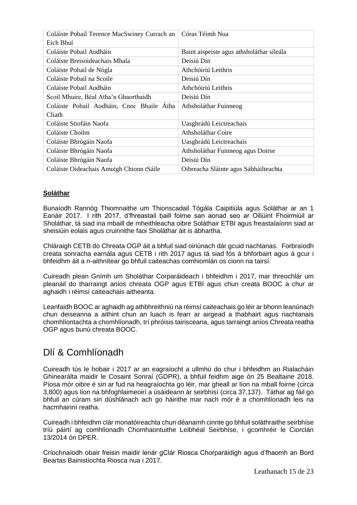| Coláiste Pobail Terence MacSwiney Currach an | Córas Téimh Nua                           |
|----------------------------------------------|-------------------------------------------|
| Eich Bhuí                                    |                                           |
| Coláiste Pobail Aodháin                      | Baint aispeiste agus athsholáthar síleála |
| Coláiste Breisoideachais Mhala               | Deisiú Dín                                |
| Coláiste Pobail de Nógla                     | Athchóiriú Leithris                       |
| Coláiste Pobail na Scoile                    | Deisiú Dín                                |
| Coláiste Pobail Aodháin                      | Athchóiriú Leithris                       |
| Scoil Mhuire, Béal Atha'n Ghaorthaidh        | Deisiú Dín                                |
| Coláiste Pobail Aodháin, Cnoc Bhaile Átha    | Athsholáthar Fuinneog                     |
| Cliath                                       |                                           |
| Coláiste Stiofáin Naofa                      | Uasghrádú Leictreachais                   |
| Coláiste Choilm                              | Athsholáthar Coire                        |
| Coláiste Bhrógáin Naofa                      | Uasghrádú Leictreachais                   |
| Coláiste Bhrógáin Naofa                      | Athsholáthar Fuinneog agus Doirse         |
| Coláiste Bhrógáin Naofa                      | Deisiú Dín                                |
| Coláiste Oideachais Amuigh Chionn tSáile     | Oibreacha Sláinte agus Sábháilteachta     |

#### **Soláthar**

Bunaíodh Rannóg Thiomnaithe um Thionscadail Tógála Caipitiúla agus Soláthar ar an 1 Eanáir 2017. I rith 2017, d'fhreastail baill foirne san aonad seo ar Oiliúint Fhoirmiúil ar Sholáthar, tá siad ina mbaill de mheithleacha oibre Soláthair ETBI agus freastalaíonn siad ar sheisiúin eolais agus cruinnithe faoi Sholáthar áit is ábhartha.

Chláraigh CETB do Chreata OGP áit a bhfuil siad oiriúnach dár gcuid riachtanas. Forbraíodh creata sonracha earnála agus CETB i rith 2017 agus tá siad fós á bhforbairt agus á gcur i bhfeidhm áit a n-aithnítear go bhfuil caiteachas comhiomlán os cionn na tairsí.

Cuireadh plean Gnímh um Sholáthar Corparáideach i bhfeidhm i 2017, mar threochlár um pleanáil do tharraingt aníos chreata OGP agus ETBI agus chun creata BOOC a chur ar aghaidh i réimsí caiteachais aitheanta.

Leanfaidh BOOC ar aghaidh ag athbhreithniú na réimsí caiteachais go léir ar bhonn leanúnach chun deiseanna a aithint chun an luach is fearr ar airgead a thabhairt agus riachtanais chomhlíontachta a chomhlíonadh, trí phróisis tairisceana, agus tarraingt aníos Chreata reatha OGP agus bunú chreata BOOC.

# <span id="page-14-0"></span>Dlí & Comhlíonadh

Cuireadh tús le hobair i 2017 ar an eagraíocht a ullmhú do chur i bhfeidhm an Rialacháin Ghinearálta maidir le Cosaint Sonraí (GDPR), a bhfuil feidhm aige ón 25 Bealtaine 2018. Píosa mór oibre é sin ar fud na heagraíochta go léir, mar gheall ar líon na mball foirne (circa 3,800) agus líon na bhfoghlaimeoirí a úsáideann ár seirbhísí (circa 37,137). Táthar ag fáil go bhfuil an cúram sin dúshlánach ach go háirithe mar nach mór é a chomhlíonadh leis na hacmhainní reatha.

Cuireadh i bhfeidhm clár monatóireachta chun déanamh cinnte go bhfuil soláthraithe seirbhíse tríú páirtí ag comhlíonadh Chomhaontuithe Leibhéal Seirbhíse, i gcomhréir le Ciorclán 13/2014 ón DPER.

Críochnaíodh obair freisin maidir lenár gClár Riosca Chorparáidigh agus d'fhaomh an Bord Beartas Bainistíochta Riosca nua i 2017.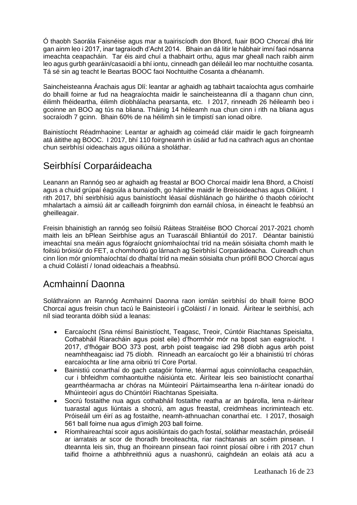Ó thaobh Saorála Faisnéise agus mar a tuairiscíodh don Bhord, fuair BOO Chorcaí dhá litir gan ainm leo i 2017, inar tagraíodh d'Acht 2014. Bhain an dá litir le hábhair imní faoi nósanna imeachta ceapacháin. Tar éis aird chuí a thabhairt orthu, agus mar gheall nach raibh ainm leo agus gurbh gearáin/casaoidí a bhí iontu, cinneadh gan déileáil leo mar nochtuithe cosanta. Tá sé sin ag teacht le Beartas BOOC faoi Nochtuithe Cosanta a dhéanamh.

Saincheisteanna Árachais agus Dlí: leantar ar aghaidh ag tabhairt tacaíochta agus comhairle do bhaill foirne ar fud na heagraíochta maidir le saincheisteanna dlí a thagann chun cinn, éilimh fhéideartha, éilimh díobhálacha pearsanta, etc. I 2017, rinneadh 26 héileamh beo i gcoinne an BOO ag tús na bliana. Tháinig 14 héileamh nua chun cinn i rith na bliana agus socraíodh 7 gcinn. Bhain 60% de na héilimh sin le timpistí san ionad oibre.

Bainistíocht Réadmhaoine: Leantar ar aghaidh ag coimeád cláir maidir le gach foirgneamh atá áitithe ag BOOC. I 2017, bhí 110 foirgneamh in úsáid ar fud na cathrach agus an chontae chun seirbhísí oideachais agus oiliúna a sholáthar.

# <span id="page-15-0"></span>Seirbhísí Corparáideacha

Leanann an Rannóg seo ar aghaidh ag freastal ar BOO Chorcaí maidir lena Bhord, a Choistí agus a chuid grúpaí éagsúla a bunaíodh, go háirithe maidir le Breisoideachas agus Oiliúint. I rith 2017, bhí seirbhísiú agus bainistíocht léasaí dúshlánach go háirithe ó thaobh cóiríocht mhalartach a aimsiú áit ar cailleadh foirgnimh don earnáil chíosa, in éineacht le feabhsú an gheilleagair.

Freisin bhainistigh an rannóg seo foilsiú Ráiteas Straitéise BOO Chorcaí 2017-2021 chomh maith leis an bPlean Seirbhíse agus an Tuarascáil Bhliantúil do 2017. Déantar bainistiú imeachtaí sna meáin agus fógraíocht gníomhaíochtaí tríd na meáin sóisialta chomh maith le foilsiú bróisiúr do FET, a chomhordú go lárnach ag Seirbhísí Corparáideacha. Cuireadh chun cinn líon mór gníomhaíochtaí do dhaltaí tríd na meáin sóisialta chun próifíl BOO Chorcaí agus a chuid Coláistí / Ionad oideachais a fheabhsú.

# <span id="page-15-1"></span>Acmhainní Daonna

Soláthraíonn an Rannóg Acmhainní Daonna raon iomlán seirbhísí do bhaill foirne BOO Chorcaí agus freisin chun tacú le Bainisteoirí i gColáistí / in Ionaid. Áirítear le seirbhísí, ach níl siad teoranta dóibh siúd a leanas:

- Earcaíocht (Sna réimsí Bainistíocht, Teagasc, Treoir, Cúntóir Riachtanas Speisialta, Cothabháil Riaracháin agus poist eile) d'fhormhór mór na bpost san eagraíocht. I 2017, d'fhógair BOO 373 post, arbh poist teagaisc iad 298 díobh agus arbh poist neamhtheagaisc iad 75 díobh. Rinneadh an earcaíocht go léir a bhainistiú trí chóras earcaíochta ar líne arna oibriú trí Core Portal.
- Bainistiú conarthaí do gach catagóir foirne, téarmaí agus coinníollacha ceapacháin, cur i bhfeidhm comhaontuithe náisiúnta etc. Áirítear leis seo bainistíocht conarthaí gearrthéarmacha ar chóras na Múinteoirí Páirtaimseartha lena n-áirítear ionadú do Mhúinteoirí agus do Chúntóirí Riachtanas Speisialta.
- Socrú fostaithe nua agus cothabháil fostaithe reatha ar an bpárolla, lena n-áirítear tuarastal agus liúntais a shocrú, am agus freastal, creidmheas incriminteach etc. Próiseáil um éirí as ag fostaithe, neamh-athnuachan conarthaí etc. I 2017, thosaigh 561 ball foirne nua agus d'imigh 203 ball foirne.
- Ríomhaireachtaí scoir agus aoisliúntais do gach fostaí, soláthar meastachán, próiseáil ar iarratais ar scor de thoradh breoiteachta, riar riachtanais an scéim pinsean. I dteannta leis sin, thug an fhoireann pinsean faoi roinnt píosaí oibre i rith 2017 chun taifid fhoirne a athbhreithniú agus a nuashonrú, caighdeán an eolais atá acu a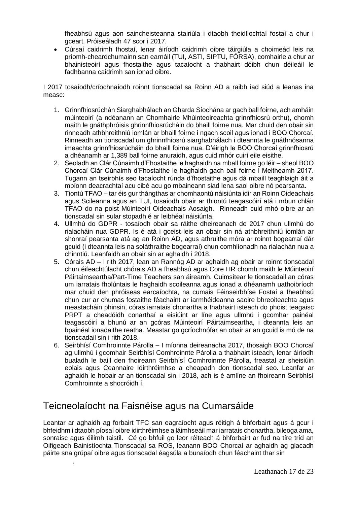fheabhsú agus aon saincheisteanna stairiúla i dtaobh theidlíochtaí fostaí a chur i gceart. Próiseáladh 47 scor i 2017.

• Cúrsaí caidrimh fhostaí, lenar áiríodh caidrimh oibre táirgiúla a choimeád leis na príomh-cheardchumainn san earnáil (TUI, ASTI, SIPTU, FÓRSA), comhairle a chur ar bhainisteoirí agus fhostaithe agus tacaíocht a thabhairt dóibh chun déileáil le fadhbanna caidrimh san ionad oibre.

I 2017 tosaíodh/críochnaíodh roinnt tionscadal sa Roinn AD a raibh iad siúd a leanas ina measc:

- 1. Grinnfhiosrúchán Siarghabhálach an Gharda Síochána ar gach ball foirne, ach amháin múinteoirí (a ndéanann an Chomhairle Mhúinteoireachta grinnfhiosrú orthu), chomh maith le gnáthphróisis ghrinnfhiosrúcháin do bhaill foirne nua. Mar chuid den obair sin rinneadh athbhreithniú iomlán ar bhaill foirne i ngach scoil agus ionad i BOO Chorcaí. Rinneadh an tionscadal um ghrinnfhiosrú siarghabhálach i dteannta le gnáthnósanna imeachta grinnfhiosrúcháin do bhaill foirne nua. D'éirigh le BOO Chorcaí grinnfhiosrú a dhéanamh ar 1,389 ball foirne anuraidh, agus cuid mhór cuirí eile eisithe.
- 2. Seoladh an Clár Cúnaimh d'Fhostaithe le haghaidh na mball foirne go léir sheol BOO Chorcaí Clár Cúnaimh d'Fhostaithe le haghaidh gach ball foirne i Meitheamh 2017. Tugann an tseirbhís seo tacaíocht rúnda d'fhostaithe agus dá mbaill teaghlaigh áit a mbíonn deacrachtaí acu cibé acu go mbaineann siad lena saol oibre nó pearsanta.
- 3. Tiontú TFAO tar éis gur thángthas ar chomhaontú náisiúnta idir an Roinn Oideachais agus Scileanna agus an TUI, tosaíodh obair ar thiontú teagascóirí atá i mbun chláir TFAO do na poist Múinteoirí Oideachais Aosaigh. Rinneadh cuid mhó oibre ar an tionscadal sin sular stopadh é ar leibhéal náisiúnta.
- 4. Ullmhú do GDPR tosaíodh obair sa ráithe dheireanach de 2017 chun ullmhú do rialacháin nua GDPR. Is é atá i gceist leis an obair sin ná athbhreithniú iomlán ar shonraí pearsanta atá ag an Roinn AD, agus athruithe móra ar roinnt bogearraí dár gcuid (i dteannta leis na soláthraithe bogearraí) chun comhlíonadh na rialachán nua a chinntiú. Leanfaidh an obair sin ar aghaidh i 2018.
- 5. Córais AD I rith 2017, lean an Rannóg AD ar aghaidh ag obair ar roinnt tionscadal chun éifeachtúlacht chórais AD a fheabhsú agus Core HR chomh maith le Múinteoirí Páirtaimseartha/Part-Time Teachers san áireamh. Cuimsítear le tionscadail an córas um iarratais fholúntais le haghaidh scoileanna agus ionad a dhéanamh uathoibríoch mar chuid den phróiseas earcaíochta, na cumais Féinseirbhíse Fostaí a fheabhsú chun cur ar chumas fostaithe féachaint ar iarmhéideanna saoire bhreoiteachta agus meastacháin phinsin, córas iarratais chonartha a thabhairt isteach do phoist teagaisc PRPT a cheadóidh conarthaí a eisiúint ar líne agus ullmhú i gcomhar painéal teagascóirí a bhunú ar an gcóras Múinteoirí Páirtaimseartha, i dteannta leis an bpainéal ionadaithe reatha. Meastar go gcríochnófar an obair ar an gcuid is mó de na tionscadail sin i rith 2018.
- 6. Seirbhísí Comhroinnte Párolla I míonna deireanacha 2017, thosaigh BOO Chorcaí ag ullmhú i gcomhair Seirbhísí Comhroinnte Párolla a thabhairt isteach, lenar áiríodh bualadh le baill den fhoireann Seirbhísí Comhroinnte Párolla, freastal ar sheisiúin eolais agus Ceannaire Idirthréimhse a cheapadh don tionscadal seo. Leanfar ar aghaidh le hobair ar an tionscadal sin i 2018, ach is é amlíne an fhoireann Seirbhísí Comhroinnte a shocróidh í.

# <span id="page-16-0"></span>Teicneolaíocht na Faisnéise agus na Cumarsáide

Leantar ar aghaidh ag forbairt TFC san eagraíocht agus réitigh á bhforbairt agus á gcur i bhfeidhm i dtaobh píosaí oibre idirthréimhse a láimhseáil mar iarratais chonartha, bileoga ama, sonraisc agus éilimh taistil. Cé go bhfuil go leor réiteach á bhforbairt ar fud na tíre tríd an Oifigeach Bainistíochta Tionscadal sa ROS, leanann BOO Chorcaí ar aghaidh ag glacadh páirte sna grúpaí oibre agus tionscadal éagsúla a bunaíodh chun féachaint thar sin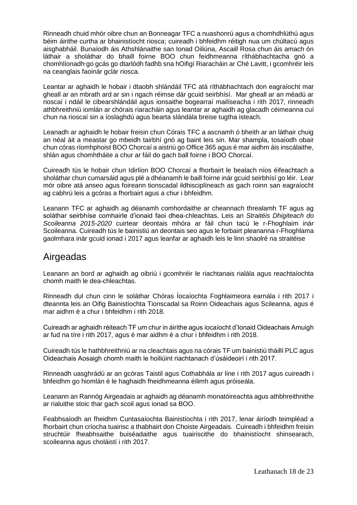Rinneadh chuid mhór oibre chun an Bonneagar TFC a nuashonrú agus a chomhdhlúthú agus béim áirithe curtha ar bhainistíocht riosca; cuireadh i bhfeidhm réitigh nua um chúltacú agus aisghabháil. Bunaíodh áis Athshlánaithe san Ionad Oiliúna, Ascaill Rosa chun áis amach ón láthair a sholáthar do bhaill foirne BOO chun feidhmeanna ríthábhachtacha gnó a chomhlíonadh go gcás go dtarlódh fadhb sna hOifigí Riaracháin ar Ché Lavitt, i gcomhréir leis na ceanglais faoinár gclár riosca.

Leantar ar aghaidh le hobair i dtaobh shlándáil TFC atá ríthábhachtach don eagraíocht mar gheall ar an mbrath ard ar sin i ngach réimse dár gcuid seirbhísí. Mar gheall ar an méadú ar rioscaí i ndáil le cibearshlándáil agus ionsaithe bogearraí mailíseacha i rith 2017, rinneadh athbhreithniú iomlán ar chórais riaracháin agus leantar ar aghaidh ag glacadh céimeanna cuí chun na rioscaí sin a íoslaghdú agus bearta slándála breise tugtha isteach.

Leanadh ar aghaidh le hobair freisin chun Córais TFC a ascnamh ó bheith ar an láthair chuig an néal áit a meastar go mbeidh tairbhí gnó ag baint leis sin. Mar shampla, tosaíodh obair chun córas ríomhphoist BOO Chorcaí a aistriú go Office 365 agus é mar aidhm áis inscálaithe, shlán agus chomhtháite a chur ar fáil do gach ball foirne i BOO Chorcaí.

Cuireadh tús le hobair chun Idirlíon BOO Chorcaí a fhorbairt le bealach níos éifeachtach a sholáthar chun cumarsáid agus plé a dhéanamh le baill foirne inár gcuid seirbhísí go léir. Lear mór oibre atá anseo agus foireann tionscadal ildhisciplíneach as gach roinn san eagraíocht ag cabhrú leis a gcóras a fhorbairt agus a chur i bhfeidhm.

Leanann TFC ar aghaidh ag déanamh comhordaithe ar cheannach threalamh TF agus ag soláthar seirbhíse comhairle d'ionaid faoi dhea-chleachtas. Leis an *Straitéis Dhigiteach do Scoileanna 2015-2020* cuirtear deontais mhóra ar fáil chun tacú le r-Fhoghlaim inár Scoileanna. Cuireadh tús le bainistiú an deontais seo agus le forbairt pleananna r-Fhoghlama gaolmhara inár gcuid ionad i 2017 agus leanfar ar aghaidh leis le linn shaolré na straitéise

## <span id="page-17-0"></span>Airgeadas

Leanann an bord ar aghaidh ag oibriú i gcomhréir le riachtanais rialála agus reachtaíochta chomh maith le dea-chleachtas.

Rinneadh dul chun cinn le soláthar Chóras Íocaíochta Foghlaimeora earnála i rith 2017 i dteannta leis an Oifig Bainistíochta Tionscadal sa Roinn Oideachais agus Scileanna, agus é mar aidhm é a chur i bhfeidhm i rith 2018.

Cuireadh ar aghaidh réiteach TF um chur in áirithe agus íocaíocht d'Ionaid Oideachais Amuigh ar fud na tíre i rith 2017, agus é mar aidhm é a chur i bhfeidhm i rith 2018.

Cuireadh tús le hathbhreithniú ar na cleachtais agus na córais TF um bainistiú tháillí PLC agus Oideachais Aosaigh chomh maith le hoiliúint riachtanach d'úsáideoirí i rith 2017.

Rinneadh uasghrádú ar an gcóras Taistil agus Cothabhála ar líne i rith 2017 agus cuireadh i bhfeidhm go hiomlán é le haghaidh fheidhmeanna éilimh agus próiseála.

Leanann an Rannóg Airgeadais ar aghaidh ag déanamh monatóireachta agus athbhreithnithe ar rialuithe stoic thar gach scoil agus ionad sa BOO.

Feabhsaíodh an fheidhm Cuntasaíochta Bainistíochta i rith 2017, lenar áiríodh teimpléad a fhorbairt chun críocha tuairisc a thabhairt don Choiste Airgeadais. Cuireadh i bhfeidhm freisin struchtúir fheabhsaithe buiséadaithe agus tuairiscithe do bhainistíocht shinsearach, scoileanna agus choláistí i rith 2017.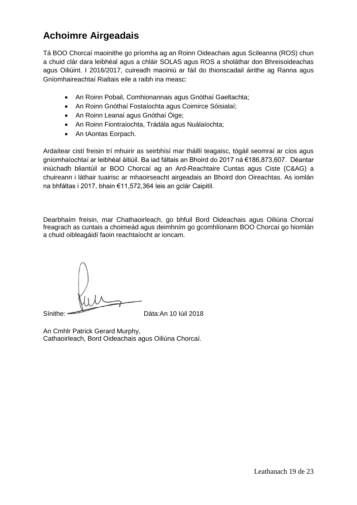# <span id="page-18-0"></span>**Achoimre Airgeadais**

Tá BOO Chorcaí maoinithe go príomha ag an Roinn Oideachais agus Scileanna (ROS) chun a chuid clár dara leibhéal agus a chláir SOLAS agus ROS a sholáthar don Bhreisoideachas agus Oiliúint. I 2016/2017, cuireadh maoiniú ar fáil do thionscadail áirithe ag Ranna agus Gníomhaireachtaí Rialtais eile a raibh ina measc:

- An Roinn Pobail, Comhionannais agus Gnóthaí Gaeltachta;
- An Roinn Gnóthaí Fostaíochta agus Coimirce Sóisialaí;
- An Roinn Leanaí agus Gnóthaí Óige;
- An Roinn Fiontraíochta, Trádála agus Nuálaíochta;
- An tAontas Eorpach.

Ardaítear cistí freisin trí mhuirir as seirbhísí mar tháillí teagaisc, tógáil seomraí ar cíos agus gníomhaíochtaí ar leibhéal áitiúil. Ba iad fáltais an Bhoird do 2017 ná €186,873,607. Déantar iniúchadh bliantúil ar BOO Chorcaí ag an Ard-Reachtaire Cuntas agus Ciste (C&AG) a chuireann i láthair tuairisc ar mhaoirseacht airgeadais an Bhoird don Oireachtas. As iomlán na bhfáltas i 2017, bhain €11,572,364 leis an gclár Caipitil.

Dearbhaím freisin, mar Chathaoirleach, go bhfuil Bord Oideachais agus Oiliúna Chorcaí freagrach as cuntais a choimeád agus deimhním go gcomhlíonann BOO Chorcaí go hiomlán a chuid oibleagáidí faoin reachtaíocht ar ioncam.

Sínithe: Dáta:An 10 Iúil 2018

An Cmhlr Patrick Gerard Murphy, Cathaoirleach, Bord Oideachais agus Oiliúna Chorcaí.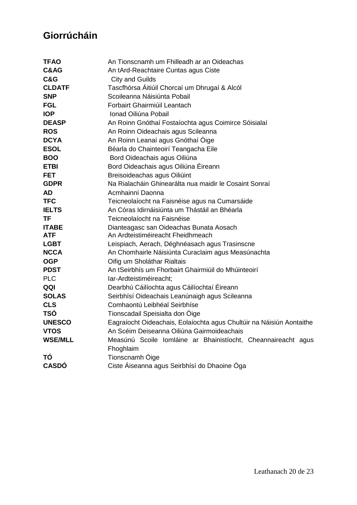# <span id="page-19-0"></span>**Giorrúcháin**

| <b>TFAO</b>    | An Tionscnamh um Fhilleadh ar an Oideachas                           |
|----------------|----------------------------------------------------------------------|
| C&AG           | An tArd-Reachtaire Cuntas agus Ciste                                 |
| <b>C&amp;G</b> | City and Guilds                                                      |
| <b>CLDATF</b>  | Tascfhórsa Áitiúil Chorcaí um Dhrugaí & Alcól                        |
| <b>SNP</b>     | Scoileanna Náisiúnta Pobail                                          |
| <b>FGL</b>     | Forbairt Ghairmiúil Leantach                                         |
| <b>IOP</b>     | Ionad Oiliúna Pobail                                                 |
| <b>DEASP</b>   | An Roinn Gnóthaí Fostaíochta agus Coimirce Sóisialaí                 |
| <b>ROS</b>     | An Roinn Oideachais agus Scileanna                                   |
| <b>DCYA</b>    | An Roinn Leanaí agus Gnóthaí Óige                                    |
| <b>ESOL</b>    | Béarla do Chainteoirí Teangacha Eile                                 |
| <b>BOO</b>     | Bord Oideachais agus Oiliúna                                         |
| <b>ETBI</b>    | Bord Oideachais agus Oiliúna Éireann                                 |
| <b>FET</b>     | Breisoideachas agus Oiliúint                                         |
| <b>GDPR</b>    | Na Rialacháin Ghinearálta nua maidir le Cosaint Sonraí               |
| AD             | Acmhainní Daonna                                                     |
| <b>TFC</b>     | Teicneolaíocht na Faisnéise agus na Cumarsáide                       |
| <b>IELTS</b>   | An Córas Idirnáisiúnta um Thástáil an Bhéarla                        |
| <b>TF</b>      | Teicneolaíocht na Faisnéise                                          |
| <b>ITABE</b>   | Dianteagasc san Oideachas Bunata Aosach                              |
| <b>ATF</b>     | An Ardteistiméireacht Fheidhmeach                                    |
| <b>LGBT</b>    | Leispiach, Aerach, Déghnéasach agus Trasinscne                       |
| <b>NCCA</b>    | An Chomhairle Náisiúnta Curaclaim agus Measúnachta                   |
| <b>OGP</b>     | Oifig um Sholáthar Rialtais                                          |
| <b>PDST</b>    | An tSeirbhís um Fhorbairt Ghairmiúil do Mhúinteoirí                  |
| <b>PLC</b>     | lar-Ardteistiméireacht;                                              |
| QQI            | Dearbhú Cáilíochta agus Cáilíochtaí Éireann                          |
| <b>SOLAS</b>   | Seirbhísí Oideachais Leanúnaigh agus Scileanna                       |
| <b>CLS</b>     | Comhaontú Leibhéal Seirbhíse                                         |
| <b>TSÓ</b>     | Tionscadail Speisialta don Oige                                      |
| <b>UNESCO</b>  | Eagraíocht Oideachais, Eolaíochta agus Chultúir na Náisiún Aontaithe |
| <b>VTOS</b>    | An Scéim Deiseanna Oiliúna Gairmoideachais                           |
| <b>WSE/MLL</b> | Measúnú Scoile Iomláine ar Bhainistíocht, Cheannaireacht agus        |
|                | Fhoghlaim                                                            |
| ΤÓ             | Tionscnamh Óige                                                      |
| <b>CASDÓ</b>   | Ciste Áiseanna agus Seirbhísí do Dhaoine Óga                         |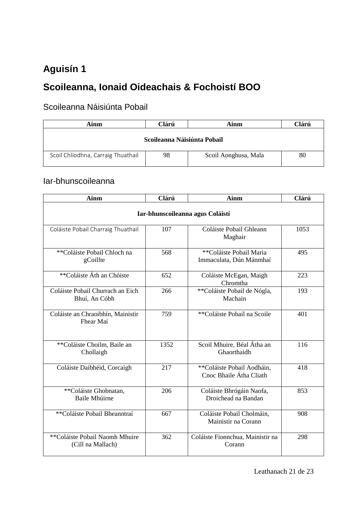# <span id="page-20-0"></span>**Aguisín 1**

# <span id="page-20-1"></span>**Scoileanna, Ionaid Oideachais & Fochoistí BOO**

# <span id="page-20-2"></span>Scoileanna Náisiúnta Pobail

| Clárú<br>Ainm<br>Ainm              |    | Clárú                |    |
|------------------------------------|----|----------------------|----|
| Scoileanna Náisiúnta Pobail        |    |                      |    |
| Scoil Chlíodhna, Carraig Thuathail | 98 | Scoil Aonghusa, Mala | 80 |

### <span id="page-20-3"></span>Iar-bhunscoileanna

| <b>Ainm</b>                                         | Clárú<br><b>Ainm</b> |                                                       | Clárú |  |
|-----------------------------------------------------|----------------------|-------------------------------------------------------|-------|--|
| Iar-bhunscoileanna agus Coláistí                    |                      |                                                       |       |  |
| Coláiste Pobail Charraig Thuathail                  | 107                  | Coláiste Pobail Ghleann<br>Maghair                    | 1053  |  |
| **Coláiste Pobail Chloch na<br>gCoillte             | 568                  | **Coláiste Pobail Maria<br>Immaculata, Dún Mánmhaí    | 495   |  |
| **Coláiste Áth an Chóiste                           | 652                  | Coláiste McEgan, Maigh<br>Chromtha                    | 223   |  |
| Coláiste Pobail Churrach an Eich<br>Bhuí, An Cóbh   | 266                  | **Coláiste Pobail de Nógla,<br>Machain                | 193   |  |
| Coláiste an Chraoibhín, Mainistir<br>Fhear Maí      | 759                  | **Coláiste Pobail na Scoile                           | 401   |  |
| **Coláiste Choilm, Baile an<br>Chollaigh            | 1352                 | Scoil Mhuire, Béal Átha an<br>Ghaorthaidh             | 116   |  |
| Coláiste Daibhéid, Corcaigh                         | 217                  | **Coláiste Pobail Aodháin,<br>Cnoc Bhaile Átha Cliath | 418   |  |
| **Coláiste Ghobnatan,<br>Baile Mhúirne              | 206                  | Coláiste Bhrógáin Naofa,<br>Droichead na Bandan       | 853   |  |
| **Coláiste Pobail Bheanntraí                        | 667                  | Coláiste Pobail Cholmáin,<br>Mainistir na Corann      | 908   |  |
| **Coláiste Pobail Naomh Mhuire<br>(Cill na Mallach) | 362                  | Coláiste Fionnchua, Mainistir na<br>Corann            | 298   |  |